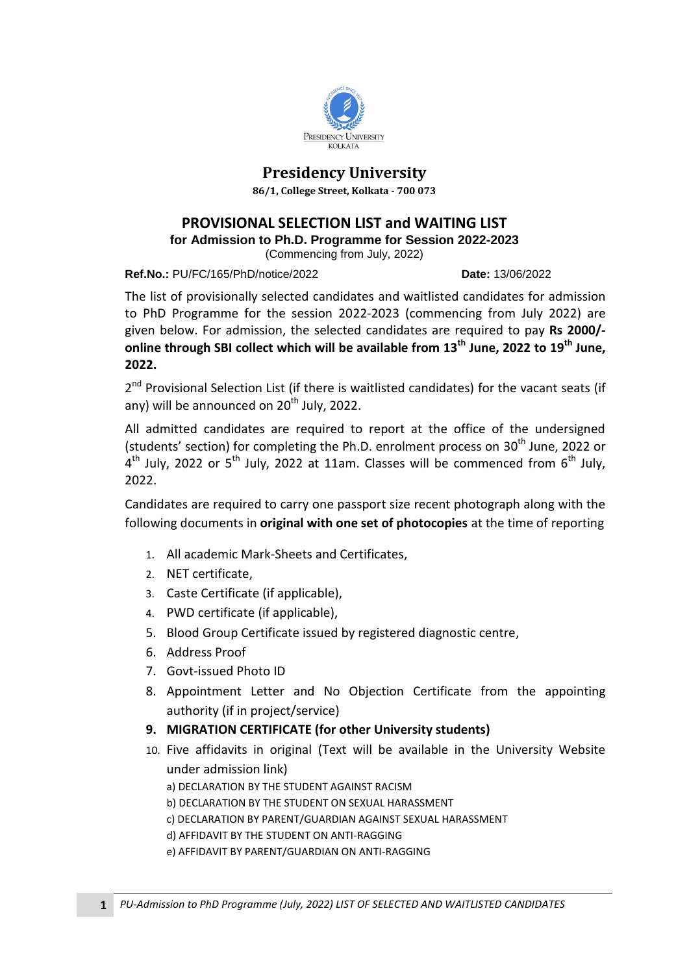

## **Presidency University**

**86/1, College Street, Kolkata - 700 073**

### **PROVISIONAL SELECTION LIST and WAITING LIST**

**for [Admission to Ph.D. Programme for Session 2022-2023](http://presiuniv.ac.in/web/phdnotice300120191.php)**

(Commencing [from July, 2022\)](http://presiuniv.ac.in/web/phdnotice300120191.php)

**Ref.No.:** PU/FC/165/PhD/notice/2022 **Date:** 13/06/2022

The list of provisionally selected candidates and waitlisted candidates for admission to PhD Programme for the session 2022-2023 (commencing from July 2022) are given below. For admission, the selected candidates are required to pay **Rs 2000/ online through SBI collect which will be available from 13th June, 2022 to 19 th June, 2022.** 

2<sup>nd</sup> Provisional Selection List (if there is waitlisted candidates) for the vacant seats (if any) will be announced on  $20<sup>th</sup>$  July, 2022.

All admitted candidates are required to report at the office of the undersigned (students' section) for completing the Ph.D. enrolment process on 30<sup>th</sup> June, 2022 or  $4^{th}$  July, 2022 or 5<sup>th</sup> July, 2022 at 11am. Classes will be commenced from 6<sup>th</sup> July, 2022.

Candidates are required to carry one passport size recent photograph along with the following documents in **original with one set of photocopies** at the time of reporting

- 1. All academic Mark-Sheets and Certificates,
- 2. NET certificate,
- 3. Caste Certificate (if applicable),
- 4. PWD certificate (if applicable),
- 5. Blood Group Certificate issued by registered diagnostic centre,
- 6. Address Proof
- 7. Govt-issued Photo ID
- 8. Appointment Letter and No Objection Certificate from the appointing authority (if in project/service)
- **9. MIGRATION CERTIFICATE (for other University students)**
- 10. Five affidavits in original (Text will be available in the University Website under admission link)
	- a) DECLARATION BY THE STUDENT AGAINST RACISM
	- b) DECLARATION BY THE STUDENT ON SEXUAL HARASSMENT
	- c) DECLARATION BY PARENT/GUARDIAN AGAINST SEXUAL HARASSMENT
	- d) AFFIDAVIT BY THE STUDENT ON ANTI-RAGGING
	- e) AFFIDAVIT BY PARENT/GUARDIAN ON ANTI-RAGGING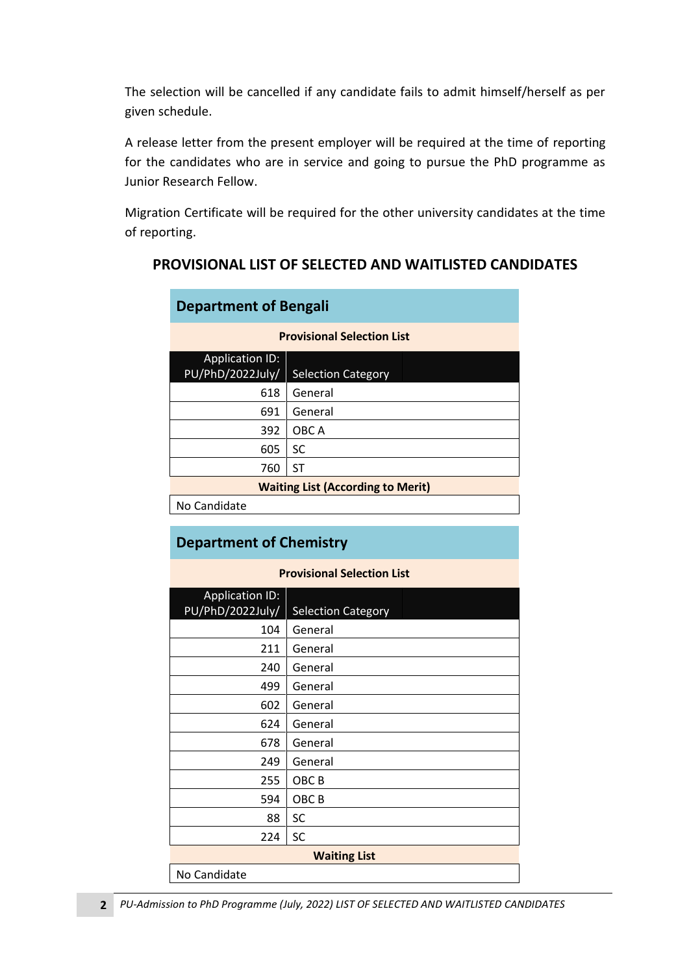The selection will be cancelled if any candidate fails to admit himself/herself as per given schedule.

A release letter from the present employer will be required at the time of reporting for the candidates who are in service and going to pursue the PhD programme as Junior Research Fellow.

Migration Certificate will be required for the other university candidates at the time of reporting.

### **PROVISIONAL LIST OF SELECTED AND WAITLISTED CANDIDATES**

| <b>Department of Bengali</b>               |                           |  |
|--------------------------------------------|---------------------------|--|
| <b>Provisional Selection List</b>          |                           |  |
| <b>Application ID:</b><br>PU/PhD/2022July/ | <b>Selection Category</b> |  |
| 618                                        | General                   |  |
| 691                                        | General                   |  |
| 392                                        | OBC A                     |  |
| 605                                        | SC                        |  |
| 760                                        | ST                        |  |
| <b>Waiting List (According to Merit)</b>   |                           |  |
| No Candidate                               |                           |  |

## **Department of Chemistry**

#### **Provisional Selection List**

| <b>Application ID:</b> |                           |
|------------------------|---------------------------|
| PU/PhD/2022July/       | <b>Selection Category</b> |
| 104                    | General                   |
| 211                    | General                   |
| 240                    | General                   |
| 499                    | General                   |
| 602                    | General                   |
| 624                    | General                   |
| 678                    | General                   |
| 249                    | General                   |
| 255                    | OBC B                     |
| 594                    | OBC <sub>B</sub>          |
| 88                     | SC                        |
| 224                    | SC                        |
| <b>Waiting List</b>    |                           |
| No Candidate           |                           |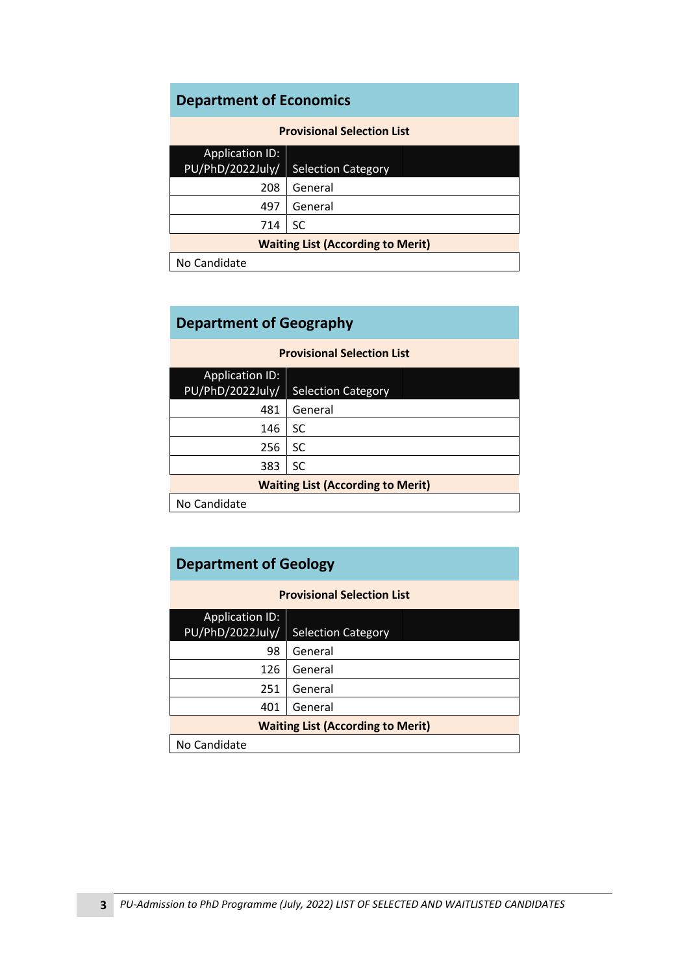# **Department of Economics**

| <b>Provisional Selection List</b>          |                           |  |
|--------------------------------------------|---------------------------|--|
| <b>Application ID:</b><br>PU/PhD/2022July/ | <b>Selection Category</b> |  |
| 208                                        | General                   |  |
| 497                                        | General                   |  |
| 714                                        | SC                        |  |
| <b>Waiting List (According to Merit)</b>   |                           |  |
| No Candidate                               |                           |  |

## **Department of Geography**

| Provisional Selection List               |                           |  |  |
|------------------------------------------|---------------------------|--|--|
| <b>Application ID:</b>                   |                           |  |  |
| PU/PhD/2022July/                         | <b>Selection Category</b> |  |  |
| 481                                      | General                   |  |  |
| 146                                      | SC                        |  |  |
| 256                                      | SC                        |  |  |
| 383                                      | SC                        |  |  |
| <b>Waiting List (According to Merit)</b> |                           |  |  |
| No Candidate                             |                           |  |  |

**Provisional Selection List**

## **Department of Geology**

| <b>Provisional Selection List</b>          |                           |  |
|--------------------------------------------|---------------------------|--|
| <b>Application ID:</b><br>PU/PhD/2022July/ | <b>Selection Category</b> |  |
| 98                                         | General                   |  |
| 126                                        | General                   |  |
| 251                                        | General                   |  |
| 401                                        | General                   |  |
| <b>Waiting List (According to Merit)</b>   |                           |  |
| No Candidate                               |                           |  |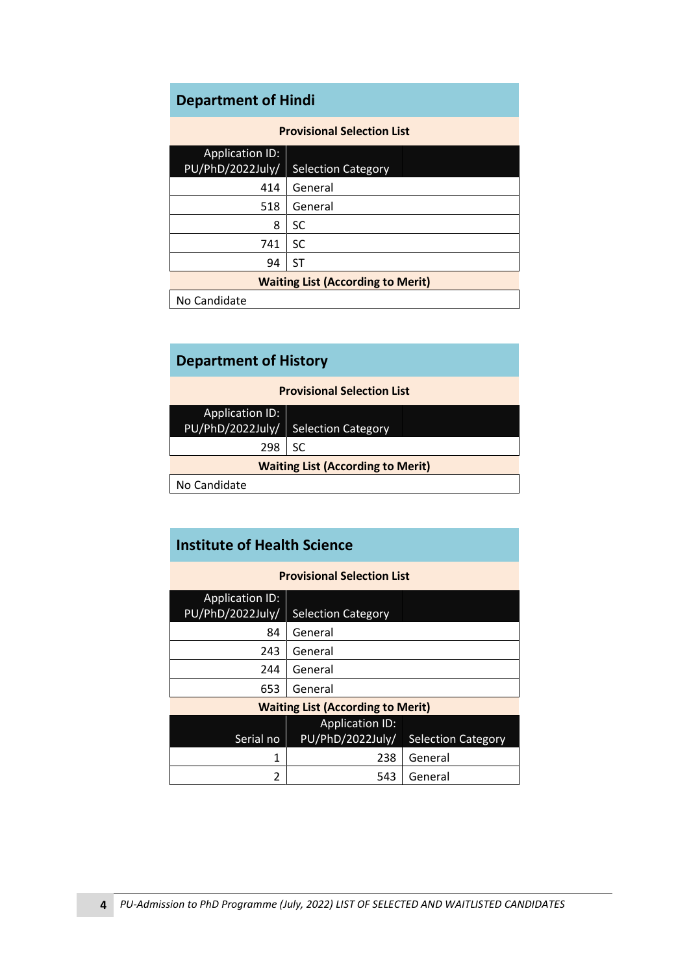# **Department of Hindi**

| <b>Provisional Selection List</b>        |                           |  |
|------------------------------------------|---------------------------|--|
| <b>Application ID:</b>                   |                           |  |
| PU/PhD/2022July/                         | <b>Selection Category</b> |  |
| 414                                      | General                   |  |
| 518                                      | General                   |  |
| 8                                        | SC                        |  |
| 741                                      | SC                        |  |
| 94                                       | ST                        |  |
| <b>Waiting List (According to Merit)</b> |                           |  |
| No Candidate                             |                           |  |

| <b>Department of History</b>             |                                     |  |
|------------------------------------------|-------------------------------------|--|
| <b>Provisional Selection List</b>        |                                     |  |
| <b>Application ID:</b>                   |                                     |  |
|                                          | PU/PhD/2022July/ Selection Category |  |
| 298                                      | SC                                  |  |
| <b>Waiting List (According to Merit)</b> |                                     |  |
| No Candidate                             |                                     |  |

| <b>Provisional Selection List</b>        |                           |                           |  |
|------------------------------------------|---------------------------|---------------------------|--|
| <b>Application ID:</b>                   |                           |                           |  |
| PU/PhD/2022July/                         | <b>Selection Category</b> |                           |  |
| 84                                       | General                   |                           |  |
| 243                                      | General                   |                           |  |
| 244                                      | General                   |                           |  |
| 653                                      | General                   |                           |  |
| <b>Waiting List (According to Merit)</b> |                           |                           |  |
|                                          | <b>Application ID:</b>    |                           |  |
| Serial no                                | PU/PhD/2022July/          | <b>Selection Category</b> |  |
| 1                                        | 238                       | General                   |  |
| 2                                        | 543                       | General                   |  |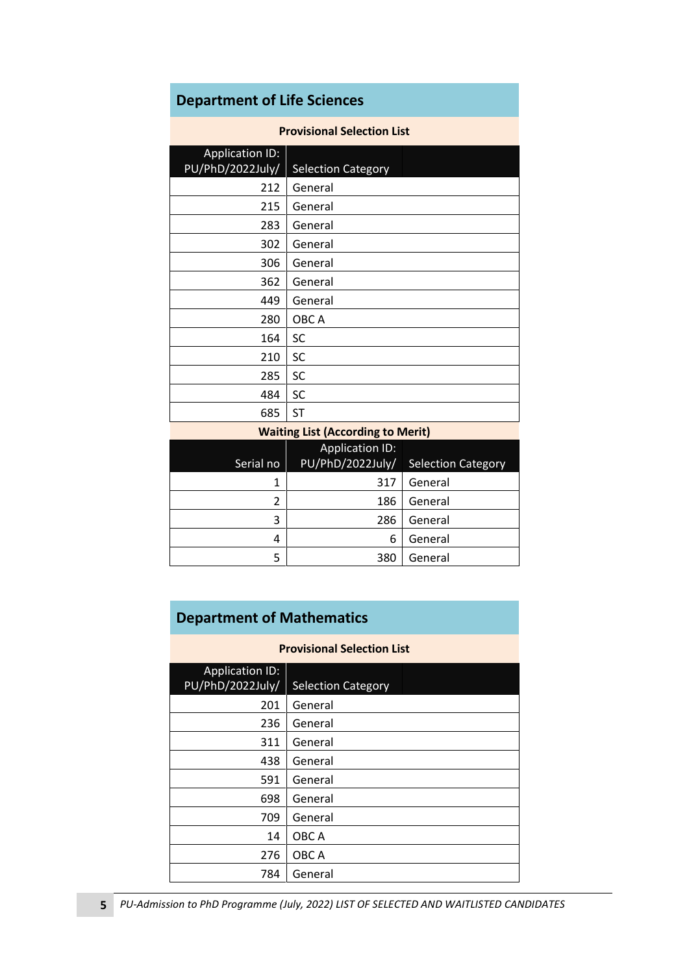# **Department of Life Sciences**

#### **Provisional Selection List**

| <b>Application ID:</b><br>PU/PhD/2022July/ | <b>Selection Category</b>         |
|--------------------------------------------|-----------------------------------|
| 212                                        | General                           |
| 215                                        | General                           |
| 283                                        | General                           |
| 302                                        | General                           |
| 306                                        | General                           |
| 362                                        | General                           |
| 449                                        | General                           |
| 280                                        | OBC A                             |
| 164                                        | <b>SC</b>                         |
| 210                                        | <b>SC</b>                         |
| 285                                        | <b>SC</b>                         |
| 484                                        | <b>SC</b>                         |
| 685                                        | <b>ST</b>                         |
|                                            | Weiting Liet (According to Morit) |

| <b>Waiting List (According to Merit)</b> |                        |                                     |
|------------------------------------------|------------------------|-------------------------------------|
|                                          | <b>Application ID:</b> |                                     |
| Serial no                                |                        | PU/PhD/2022July/ Selection Category |
|                                          | 317                    | General                             |
|                                          | 186                    | General                             |
| 3                                        | 286                    | General                             |
|                                          | 6                      | General                             |

380 General

# **Department of Mathematics**

### **Provisional Selection List**

| <b>Application ID:</b> |                           |  |
|------------------------|---------------------------|--|
| PU/PhD/2022July/       | <b>Selection Category</b> |  |
| 201                    | General                   |  |
| 236                    | General                   |  |
| 311                    | General                   |  |
| 438                    | General                   |  |
| 591                    | General                   |  |
| 698                    | General                   |  |
| 709                    | General                   |  |
| 14                     | OBC A                     |  |
| 276                    | OBC A                     |  |
| 784                    | General                   |  |
|                        |                           |  |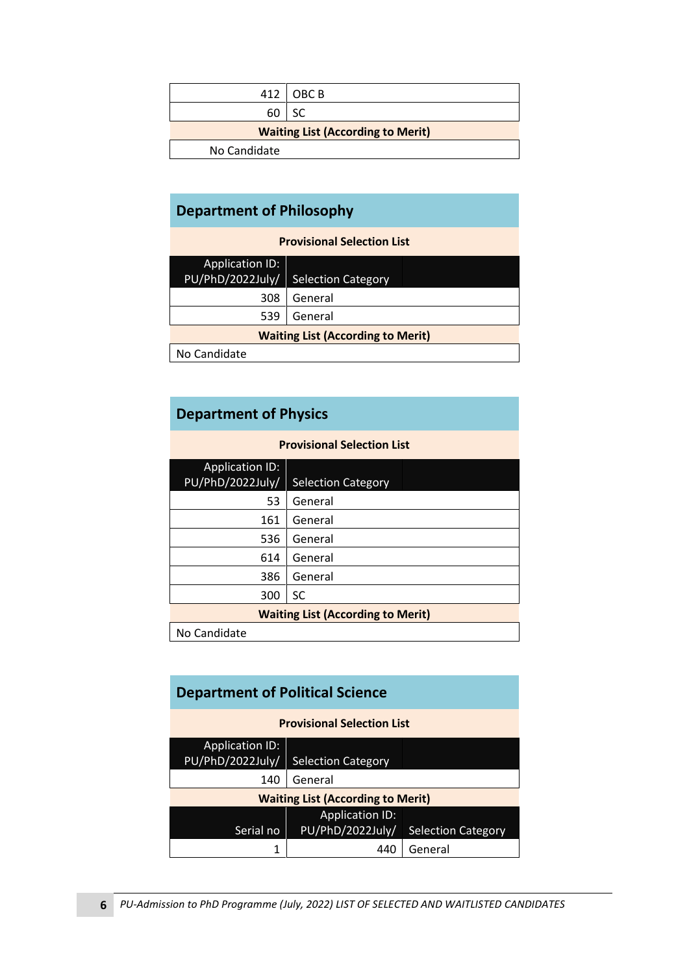|                                          | 412   OBC B |  |
|------------------------------------------|-------------|--|
| 60                                       | <b>SC</b>   |  |
| <b>Waiting List (According to Merit)</b> |             |  |
| No Candidate                             |             |  |

# **Department of Philosophy**

**Provisional Selection List**

| <b>Application ID:</b><br>PU/PhD/2022July/ | <b>Selection Category</b> |  |  |  |
|--------------------------------------------|---------------------------|--|--|--|
| 308                                        | General                   |  |  |  |
| 539                                        | General                   |  |  |  |
| <b>Waiting List (According to Merit)</b>   |                           |  |  |  |
| No Candidate                               |                           |  |  |  |

# **Department of Physics**

| <b>Provisional Selection List</b>          |                           |  |
|--------------------------------------------|---------------------------|--|
| <b>Application ID:</b><br>PU/PhD/2022July/ | <b>Selection Category</b> |  |
| 53                                         | General                   |  |
| 161                                        | General                   |  |
| 536                                        | General                   |  |
| 614                                        | General                   |  |
| 386                                        | General                   |  |
| 300                                        | SC                        |  |
| <b>Waiting List (According to Merit)</b>   |                           |  |
| No Candidate                               |                           |  |

| <b>Department of Political Science</b>     |                           |                           |  |  |
|--------------------------------------------|---------------------------|---------------------------|--|--|
| <b>Provisional Selection List</b>          |                           |                           |  |  |
| <b>Application ID:</b><br>PU/PhD/2022July/ | <b>Selection Category</b> |                           |  |  |
| 140                                        | General                   |                           |  |  |
| <b>Waiting List (According to Merit)</b>   |                           |                           |  |  |
|                                            | <b>Application ID:</b>    |                           |  |  |
| Serial no                                  | PU/PhD/2022July/          | <b>Selection Category</b> |  |  |
|                                            |                           | General                   |  |  |